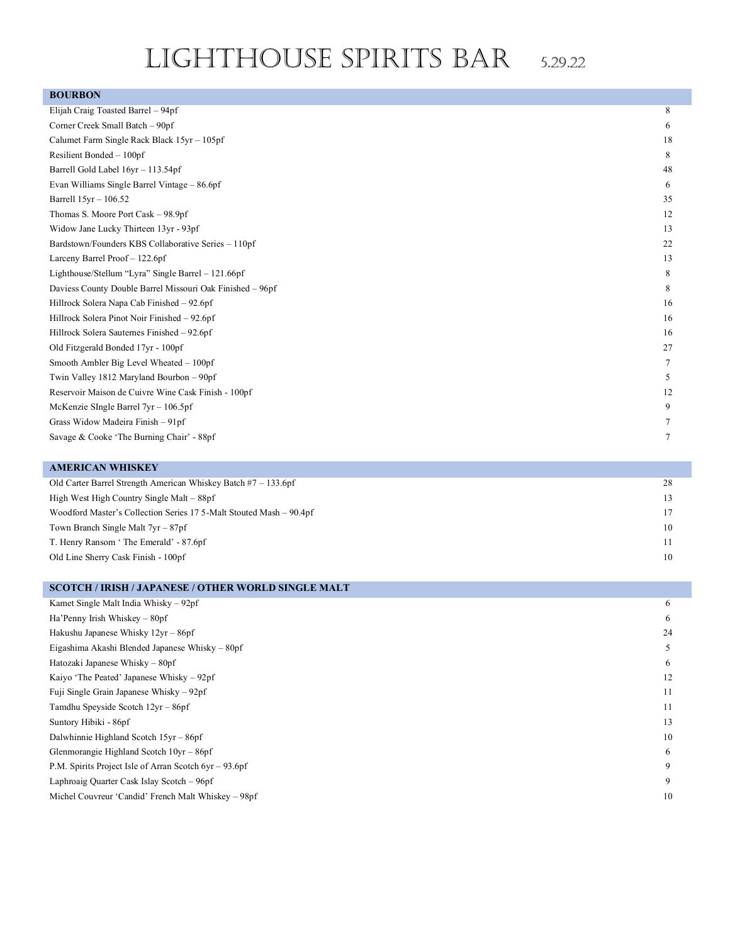# LIGHTHOUSE SPIRITS BAR 5.29.22

#### **BOURBON**

| Elijah Craig Toasted Barrel – 94pf                        | 8  |
|-----------------------------------------------------------|----|
| Corner Creek Small Batch - 90pf                           | 6  |
| Calumet Farm Single Rack Black 15yr - 105pf               | 18 |
| Resilient Bonded - 100pf                                  | 8  |
| Barrell Gold Label 16yr - 113.54pf                        | 48 |
| Evan Williams Single Barrel Vintage - 86.6pf              | 6  |
| Barrell 15yr - 106.52                                     | 35 |
| Thomas S. Moore Port Cask – 98.9pf                        | 12 |
| Widow Jane Lucky Thirteen 13yr - 93pf                     | 13 |
| Bardstown/Founders KBS Collaborative Series - 110pf       | 22 |
| Larceny Barrel Proof - 122.6pf                            | 13 |
| Lighthouse/Stellum "Lyra" Single Barrel - 121.66pf        | 8  |
| Daviess County Double Barrel Missouri Oak Finished - 96pf | 8  |
| Hillrock Solera Napa Cab Finished - 92.6pf                | 16 |
| Hillrock Solera Pinot Noir Finished - 92.6pf              | 16 |
| Hillrock Solera Sauternes Finished - 92.6pf               | 16 |
| Old Fitzgerald Bonded 17yr - 100pf                        | 27 |
| Smooth Ambler Big Level Wheated - 100pf                   | 7  |
| Twin Valley 1812 Maryland Bourbon - 90pf                  | 5  |
| Reservoir Maison de Cuivre Wine Cask Finish - 100pf       | 12 |
| McKenzie SIngle Barrel $7yr - 106.5pf$                    | 9  |
| Grass Widow Madeira Finish - 91pf                         | 7  |
| Savage & Cooke 'The Burning Chair' - 88pf                 | 7  |

### **AMERICAN WHISKEY** Old Carter Barrel Strength American Whiskey Batch #7 –133.6pf 28 High West High Country Single Malt – 88pf 13 Woodford Master's Collection Series 17 5-Malt Stouted Mash – 90.4pf 17 Town Branch Single Malt 7yr – 87pf 10 T. Henry Ransom ' The Emerald' - 87.6pf 11 Old Line Sherry Cask Finish -100pf 10

| <b>SCOTCH / IRISH / JAPANESE / OTHER WORLD SINGLE MALT</b> |    |
|------------------------------------------------------------|----|
| Kamet Single Malt India Whisky $-92pf$                     | 6  |
| Ha'Penny Irish Whiskey $-80pf$                             | 6  |
| Hakushu Japanese Whisky $12yr - 86pf$                      | 24 |
| Eigashima Akashi Blended Japanese Whisky – 80pf            | 5  |
| Hatozaki Japanese Whisky – 80pf                            | 6  |
| Kaiyo 'The Peated' Japanese Whisky – 92pf                  | 12 |
| Fuji Single Grain Japanese Whisky – 92pf                   | 11 |
| Tamdhu Speyside Scotch 12yr – 86pf                         | 11 |
| Suntory Hibiki - 86pf                                      | 13 |
| Dalwhinnie Highland Scotch $15yr - 86pf$                   | 10 |
| Glenmorangie Highland Scotch $10yr - 86pf$                 | 6  |
| P.M. Spirits Project Isle of Arran Scotch $6yr - 93.6pf$   | 9  |
| Laphroaig Quarter Cask Islay Scotch – 96pf                 | 9  |
| Michel Couvreur 'Candid' French Malt Whiskey - 98pf        | 10 |